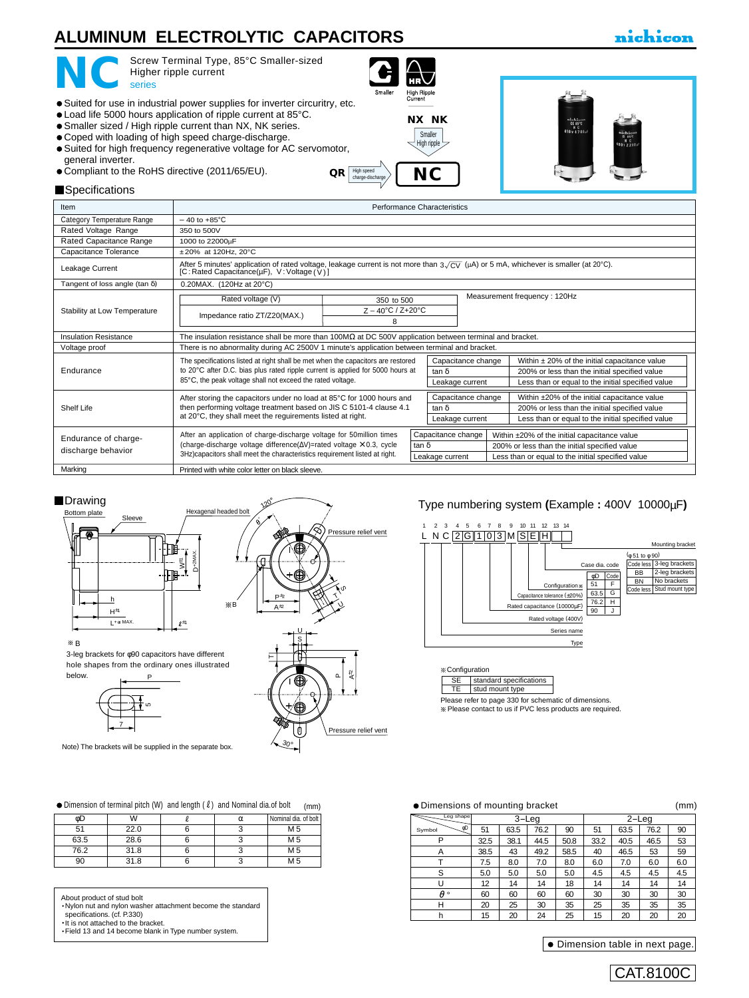# **ALUMINUM ELECTROLYTIC CAPACITORS**

## nichicon



Screw Terminal Type, 85°C Smaller-sized Higher ripple current

- Suited for use in industrial power supplies for inverter circuritry, etc.
- Load life 5000 hours application of ripple current at 85°C.
- Smaller sized / High ripple current than NX, NK series.
- Coped with loading of high speed charge-discharge.
- Suited for high frequency regenerative voltage for AC servomotor, general inverter.
- $\bullet$  Compliant to the RoHS directive (2011/65/EU).  $\mathbf{QR} \left[ \frac{\text{Hyp speed}}{\text{channel} \text{ of the model}} \right]$



**[NX](e-nx.pdf) [NK](e-nk.pdf)**



#### **Specifications**

| <b>Item</b>                           | Performance Characteristics                                                                                                                                                                                                                 |  |                             |                    |                                                   |                                                                                               |  |  |  |
|---------------------------------------|---------------------------------------------------------------------------------------------------------------------------------------------------------------------------------------------------------------------------------------------|--|-----------------------------|--------------------|---------------------------------------------------|-----------------------------------------------------------------------------------------------|--|--|--|
| Category Temperature Range            | $-40$ to $+85^{\circ}$ C                                                                                                                                                                                                                    |  |                             |                    |                                                   |                                                                                               |  |  |  |
| Rated Voltage Range                   | 350 to 500V                                                                                                                                                                                                                                 |  |                             |                    |                                                   |                                                                                               |  |  |  |
| Rated Capacitance Range               | 1000 to 22000µF                                                                                                                                                                                                                             |  |                             |                    |                                                   |                                                                                               |  |  |  |
| Capacitance Tolerance                 | $±20\%$ at 120Hz, 20 $°C$                                                                                                                                                                                                                   |  |                             |                    |                                                   |                                                                                               |  |  |  |
| Leakage Current                       | After 5 minutes' application of rated voltage, leakage current is not more than $3\sqrt{CV}$ (µA) or 5 mA, whichever is smaller (at 20°C).<br>$[C:Rated Capacitance(\mu F), V:Voltage (V)]$                                                 |  |                             |                    |                                                   |                                                                                               |  |  |  |
| Tangent of loss angle (tan $\delta$ ) | 0.20MAX. (120Hz at 20°C)                                                                                                                                                                                                                    |  |                             |                    |                                                   |                                                                                               |  |  |  |
|                                       | Measurement frequency: 120Hz<br>Rated voltage (V)<br>350 to 500                                                                                                                                                                             |  |                             |                    |                                                   |                                                                                               |  |  |  |
| Stability at Low Temperature          | $Z - 40^{\circ}C / Z + 20^{\circ}C$<br>Impedance ratio ZT/Z20(MAX.)<br>8                                                                                                                                                                    |  |                             |                    |                                                   |                                                                                               |  |  |  |
| Insulation Resistance                 | The insulation resistance shall be more than $100M\Omega$ at DC 500V application between terminal and bracket.                                                                                                                              |  |                             |                    |                                                   |                                                                                               |  |  |  |
| Voltage proof                         | There is no abnormality during AC 2500V 1 minute's application between terminal and bracket.                                                                                                                                                |  |                             |                    |                                                   |                                                                                               |  |  |  |
|                                       | The specifications listed at right shall be met when the capacitors are restored                                                                                                                                                            |  |                             | Capacitance change |                                                   | Within $\pm$ 20% of the initial capacitance value                                             |  |  |  |
| Endurance                             | to 20°C after D.C. bias plus rated ripple current is applied for 5000 hours at                                                                                                                                                              |  |                             | tan $\delta$       |                                                   | 200% or less than the initial specified value                                                 |  |  |  |
|                                       | 85°C, the peak voltage shall not exceed the rated voltage.                                                                                                                                                                                  |  |                             | Leakage current    |                                                   | Less than or equal to the initial specified value                                             |  |  |  |
|                                       | After storing the capacitors under no load at 85°C for 1000 hours and                                                                                                                                                                       |  |                             | Capacitance change |                                                   | Within ±20% of the initial capacitance value                                                  |  |  |  |
| Shelf Life                            | then performing voltage treatment based on JIS C 5101-4 clause 4.1<br>at 20°C, they shall meet the reguirements listed at right.                                                                                                            |  |                             | tan $\delta$       |                                                   | 200% or less than the initial specified value                                                 |  |  |  |
|                                       |                                                                                                                                                                                                                                             |  |                             | Leakage current    |                                                   | Less than or equal to the initial specified value                                             |  |  |  |
| Endurance of charge-                  | After an application of charge-discharge voltage for 50million times<br>(charge-discharge voltage difference( $\Delta V$ )=rated voltage $\times$ 0.3, cycle<br>3Hz) capacitors shall meet the characteristics requirement listed at right. |  | Capacitance change<br>tan δ |                    |                                                   | Within ±20% of the initial capacitance value<br>200% or less than the initial specified value |  |  |  |
| discharge behavior                    |                                                                                                                                                                                                                                             |  | Leakage current             |                    | Less than or equal to the initial specified value |                                                                                               |  |  |  |
| Marking                               | Printed with white color letter on black sleeve.                                                                                                                                                                                            |  |                             |                    |                                                   |                                                                                               |  |  |  |

#### **Drawing**



B

3-leg brackets for φ90 capacitors have different hole shapes from the ordinary ones illustrated below.



Note) The brackets will be supplied in the separate box.

ressure relief vent Pressure relief vent 30° ם  $A_{\pm}$  $\vdash$ 

Type numbering system **(**Example **:** 400V 10000µF**)**





Please refer to page 330 for schematic of dimensions. [Please contact to us if PVC less products are required.](e-term02.pdf)

#### $\bullet$  Dimension of terminal pitch (W) and length ( $\ell$ ) and Nominal dia.of bolt (mm)  $\bullet$  Dimensions of mounting bracket (mm) (mm)

| óD   | W    | α | Nominal dia, of bolt |
|------|------|---|----------------------|
| 51   | 22.0 |   | M <sub>5</sub>       |
| 63.5 | 28.6 |   | M 5                  |
| 76.2 | 31.8 |   | M <sub>5</sub>       |
| 90   | 31.8 |   | M 5                  |

About product of stud bolt

 [Nylon nut and nylon washer attachment become the standard](e-term02.pdf) 

specifications. (cf. P.330)<br>
It is not attached to the bracket.

Field 13 and 14 become blank in Type number system.

| Leg shape    |      |      | 3-Leg |      |      | $2 -$ Leg |      |     |
|--------------|------|------|-------|------|------|-----------|------|-----|
| фD<br>Symbol | 51   | 63.5 | 76.2  | 90   | 51   | 63.5      | 76.2 | 90  |
| P            | 32.5 | 38.1 | 44.5  | 50.8 | 33.2 | 40.5      | 46.5 | 53  |
| Α            | 38.5 | 43   | 49.2  | 58.5 | 40   | 46.5      | 53   | 59  |
|              | 7.5  | 8.0  | 7.0   | 8.0  | 6.0  | 7.0       | 6.0  | 6.0 |
| S            | 5.0  | 5.0  | 5.0   | 5.0  | 4.5  | 4.5       | 4.5  | 4.5 |
|              | 12   | 14   | 14    | 18   | 14   | 14        | 14   | 14  |
| A۰           | 60   | 60   | 60    | 60   | 30   | 30        | 30   | 30  |
| Н            | 20   | 25   | 30    | 35   | 25   | 35        | 35   | 35  |
| h            | 15   | 20   | 24    | 25   | 15   | 20        | 20   | 20  |

Dimension table in next page.